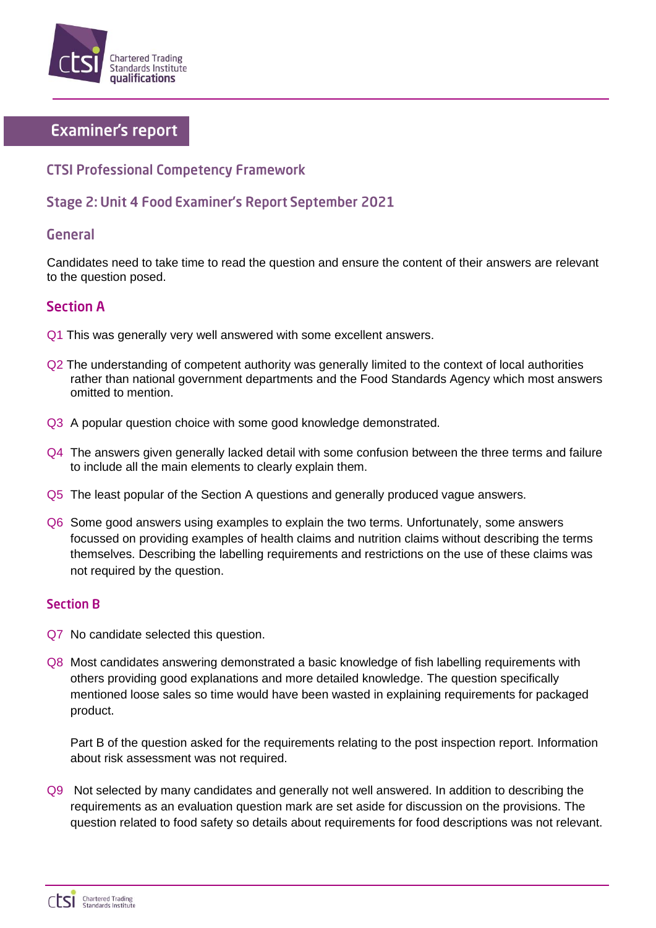

# **Examiner's report**

## **CTSI Professional Competency Framework**

# Stage 2: Unit 4 Food Examiner's Report September 2021

#### **General**

Candidates need to take time to read the question and ensure the content of their answers are relevant to the question posed.

## **Section A**

- Q1 This was generally very well answered with some excellent answers.
- Q2 The understanding of competent authority was generally limited to the context of local authorities rather than national government departments and the Food Standards Agency which most answers omitted to mention.
- Q3 A popular question choice with some good knowledge demonstrated.
- Q4 The answers given generally lacked detail with some confusion between the three terms and failure to include all the main elements to clearly explain them.
- Q5 The least popular of the Section A questions and generally produced vague answers.
- Q6 Some good answers using examples to explain the two terms. Unfortunately, some answers focussed on providing examples of health claims and nutrition claims without describing the terms themselves. Describing the labelling requirements and restrictions on the use of these claims was not required by the question.

#### **Section B**

- Q7 No candidate selected this question.
- Q8 Most candidates answering demonstrated a basic knowledge of fish labelling requirements with others providing good explanations and more detailed knowledge. The question specifically mentioned loose sales so time would have been wasted in explaining requirements for packaged product.

Part B of the question asked for the requirements relating to the post inspection report. Information about risk assessment was not required.

Q9 Not selected by many candidates and generally not well answered. In addition to describing the requirements as an evaluation question mark are set aside for discussion on the provisions. The question related to food safety so details about requirements for food descriptions was not relevant.